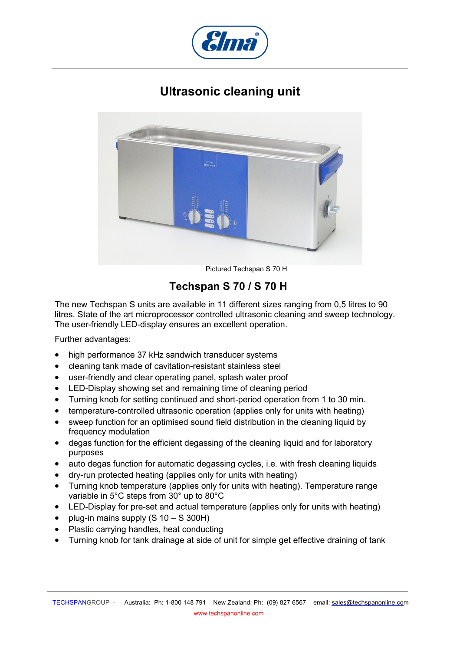## **Ultrasonic cleaning unit**



Pictured Techspan S 70 H

## **Techspan S 70 / S 70 H**

The new Techspan S units are available in 11 different sizes ranging from 0,5 litres to 90 litres. State of the art microprocessor controlled ultrasonic cleaning and sweep technology. The user-friendly LED-display ensures an excellent operation.

Further advantages:

- high performance 37 kHz sandwich transducer systems
- cleaning tank made of cavitation-resistant stainless steel
- user-friendly and clear operating panel, splash water proof
- LED-Display showing set and remaining time of cleaning period
- Turning knob for setting continued and short-period operation from 1 to 30 min.
- temperature-controlled ultrasonic operation (applies only for units with heating)
- sweep function for an optimised sound field distribution in the cleaning liquid by frequency modulation
- degas function for the efficient degassing of the cleaning liquid and for laboratory purposes
- auto degas function for automatic degassing cycles, i.e. with fresh cleaning liquids
- dry-run protected heating (applies only for units with heating)
- Turning knob temperature (applies only for units with heating). Temperature range variable in 5°C steps from 30° up to 80°C
- LED-Display for pre-set and actual temperature (applies only for units with heating)
- plug-in mains supply  $(S \ 10 S \ 300H)$
- Plastic carrying handles, heat conducting
- Turning knob for tank drainage at side of unit for simple get effective draining of tank